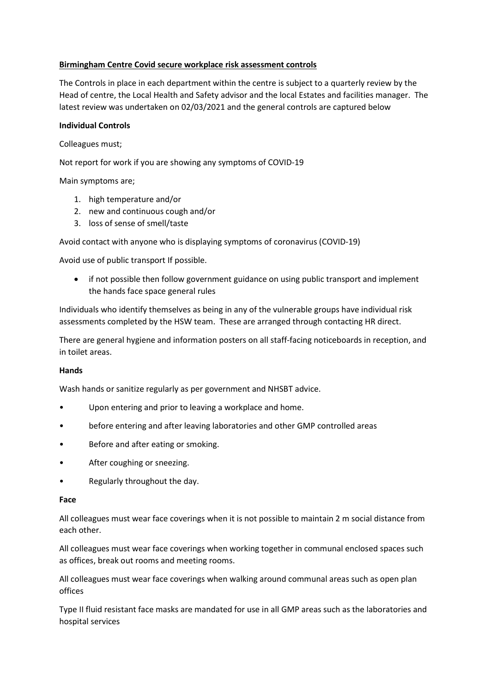#### Birmingham Centre Covid secure workplace risk assessment controls

The Controls in place in each department within the centre is subject to a quarterly review by the Head of centre, the Local Health and Safety advisor and the local Estates and facilities manager. The latest review was undertaken on 02/03/2021 and the general controls are captured below

#### Individual Controls

Colleagues must;

Not report for work if you are showing any symptoms of COVID-19

Main symptoms are;

- 1. high temperature and/or
- 2. new and continuous cough and/or
- 3. loss of sense of smell/taste

Avoid contact with anyone who is displaying symptoms of coronavirus (COVID-19)

Avoid use of public transport If possible.

 if not possible then follow government guidance on using public transport and implement the hands face space general rules

Individuals who identify themselves as being in any of the vulnerable groups have individual risk assessments completed by the HSW team. These are arranged through contacting HR direct.

There are general hygiene and information posters on all staff-facing noticeboards in reception, and in toilet areas.

#### Hands

Wash hands or sanitize regularly as per government and NHSBT advice.

- Upon entering and prior to leaving a workplace and home.
- before entering and after leaving laboratories and other GMP controlled areas
- Before and after eating or smoking.
- After coughing or sneezing.
- Regularly throughout the day.

#### Face

All colleagues must wear face coverings when it is not possible to maintain 2 m social distance from each other.

All colleagues must wear face coverings when working together in communal enclosed spaces such as offices, break out rooms and meeting rooms.

All colleagues must wear face coverings when walking around communal areas such as open plan offices

Type II fluid resistant face masks are mandated for use in all GMP areas such as the laboratories and hospital services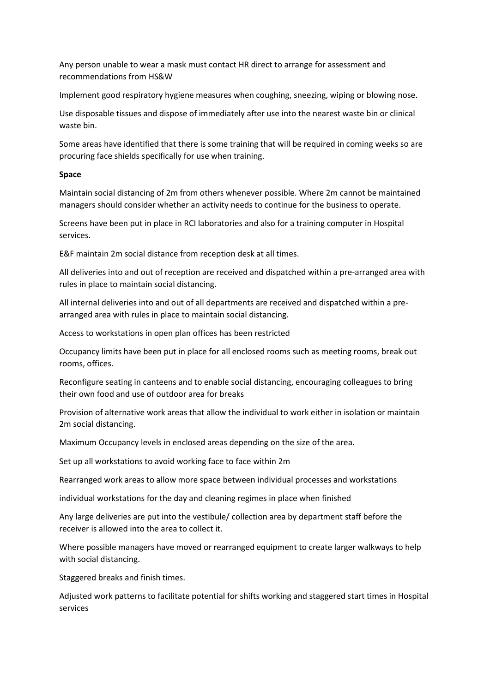Any person unable to wear a mask must contact HR direct to arrange for assessment and recommendations from HS&W

Implement good respiratory hygiene measures when coughing, sneezing, wiping or blowing nose.

Use disposable tissues and dispose of immediately after use into the nearest waste bin or clinical waste bin.

Some areas have identified that there is some training that will be required in coming weeks so are procuring face shields specifically for use when training.

#### Space

Maintain social distancing of 2m from others whenever possible. Where 2m cannot be maintained managers should consider whether an activity needs to continue for the business to operate.

Screens have been put in place in RCI laboratories and also for a training computer in Hospital services.

E&F maintain 2m social distance from reception desk at all times.

All deliveries into and out of reception are received and dispatched within a pre-arranged area with rules in place to maintain social distancing.

All internal deliveries into and out of all departments are received and dispatched within a prearranged area with rules in place to maintain social distancing.

Access to workstations in open plan offices has been restricted

Occupancy limits have been put in place for all enclosed rooms such as meeting rooms, break out rooms, offices.

Reconfigure seating in canteens and to enable social distancing, encouraging colleagues to bring their own food and use of outdoor area for breaks

Provision of alternative work areas that allow the individual to work either in isolation or maintain 2m social distancing.

Maximum Occupancy levels in enclosed areas depending on the size of the area.

Set up all workstations to avoid working face to face within 2m

Rearranged work areas to allow more space between individual processes and workstations

individual workstations for the day and cleaning regimes in place when finished

Any large deliveries are put into the vestibule/ collection area by department staff before the receiver is allowed into the area to collect it.

Where possible managers have moved or rearranged equipment to create larger walkways to help with social distancing.

Staggered breaks and finish times.

Adjusted work patterns to facilitate potential for shifts working and staggered start times in Hospital services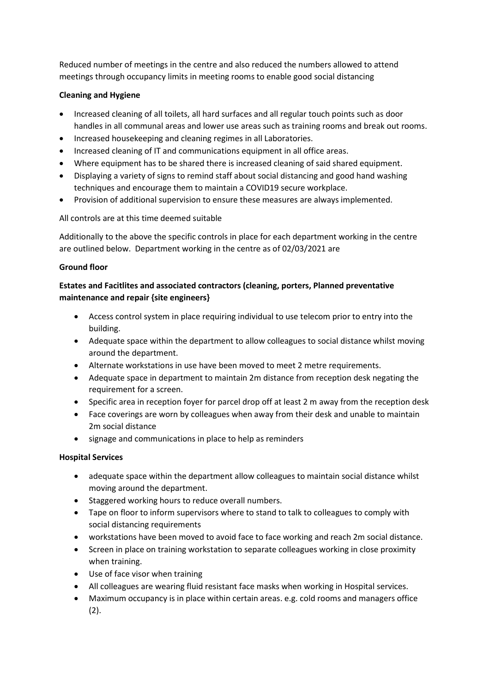Reduced number of meetings in the centre and also reduced the numbers allowed to attend meetings through occupancy limits in meeting rooms to enable good social distancing

## Cleaning and Hygiene

- Increased cleaning of all toilets, all hard surfaces and all regular touch points such as door handles in all communal areas and lower use areas such as training rooms and break out rooms.
- Increased housekeeping and cleaning regimes in all Laboratories.
- Increased cleaning of IT and communications equipment in all office areas.
- Where equipment has to be shared there is increased cleaning of said shared equipment.
- Displaying a variety of signs to remind staff about social distancing and good hand washing techniques and encourage them to maintain a COVID19 secure workplace.
- Provision of additional supervision to ensure these measures are always implemented.

All controls are at this time deemed suitable

Additionally to the above the specific controls in place for each department working in the centre are outlined below. Department working in the centre as of 02/03/2021 are

## Ground floor

# Estates and Facitlites and associated contractors (cleaning, porters, Planned preventative maintenance and repair {site engineers}

- Access control system in place requiring individual to use telecom prior to entry into the building.
- Adequate space within the department to allow colleagues to social distance whilst moving around the department.
- Alternate workstations in use have been moved to meet 2 metre requirements.
- Adequate space in department to maintain 2m distance from reception desk negating the requirement for a screen.
- Specific area in reception foyer for parcel drop off at least 2 m away from the reception desk
- Face coverings are worn by colleagues when away from their desk and unable to maintain 2m social distance
- signage and communications in place to help as reminders

## Hospital Services

- adequate space within the department allow colleagues to maintain social distance whilst moving around the department.
- Staggered working hours to reduce overall numbers.
- Tape on floor to inform supervisors where to stand to talk to colleagues to comply with social distancing requirements
- workstations have been moved to avoid face to face working and reach 2m social distance.
- Screen in place on training workstation to separate colleagues working in close proximity when training.
- Use of face visor when training
- All colleagues are wearing fluid resistant face masks when working in Hospital services.
- Maximum occupancy is in place within certain areas. e.g. cold rooms and managers office  $(2).$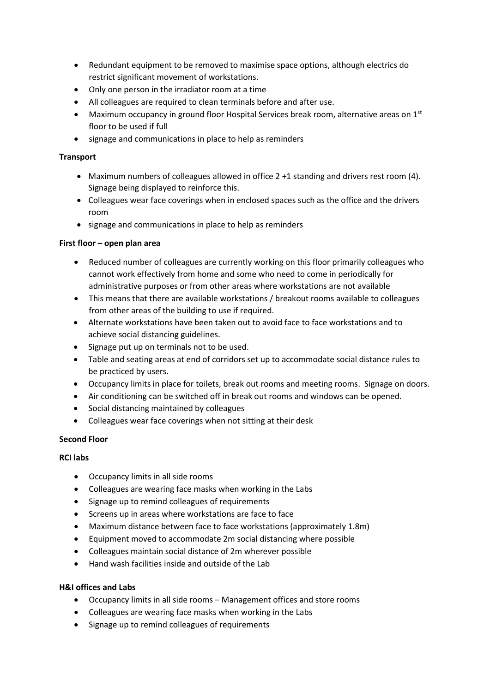- Redundant equipment to be removed to maximise space options, although electrics do restrict significant movement of workstations.
- Only one person in the irradiator room at a time
- All colleagues are required to clean terminals before and after use.
- $\bullet$  Maximum occupancy in ground floor Hospital Services break room, alternative areas on 1st floor to be used if full
- signage and communications in place to help as reminders

#### **Transport**

- Maximum numbers of colleagues allowed in office 2 +1 standing and drivers rest room (4). Signage being displayed to reinforce this.
- Colleagues wear face coverings when in enclosed spaces such as the office and the drivers room
- signage and communications in place to help as reminders

## First floor – open plan area

- Reduced number of colleagues are currently working on this floor primarily colleagues who cannot work effectively from home and some who need to come in periodically for administrative purposes or from other areas where workstations are not available
- This means that there are available workstations / breakout rooms available to colleagues from other areas of the building to use if required.
- Alternate workstations have been taken out to avoid face to face workstations and to achieve social distancing guidelines.
- Signage put up on terminals not to be used.
- Table and seating areas at end of corridors set up to accommodate social distance rules to be practiced by users.
- Occupancy limits in place for toilets, break out rooms and meeting rooms. Signage on doors.
- Air conditioning can be switched off in break out rooms and windows can be opened.
- Social distancing maintained by colleagues
- Colleagues wear face coverings when not sitting at their desk

## Second Floor

## RCI labs

- Occupancy limits in all side rooms
- Colleagues are wearing face masks when working in the Labs
- Signage up to remind colleagues of requirements
- Screens up in areas where workstations are face to face
- Maximum distance between face to face workstations (approximately 1.8m)
- Equipment moved to accommodate 2m social distancing where possible
- Colleagues maintain social distance of 2m wherever possible
- Hand wash facilities inside and outside of the Lab

## H&I offices and Labs

- Occupancy limits in all side rooms Management offices and store rooms
- Colleagues are wearing face masks when working in the Labs
- Signage up to remind colleagues of requirements